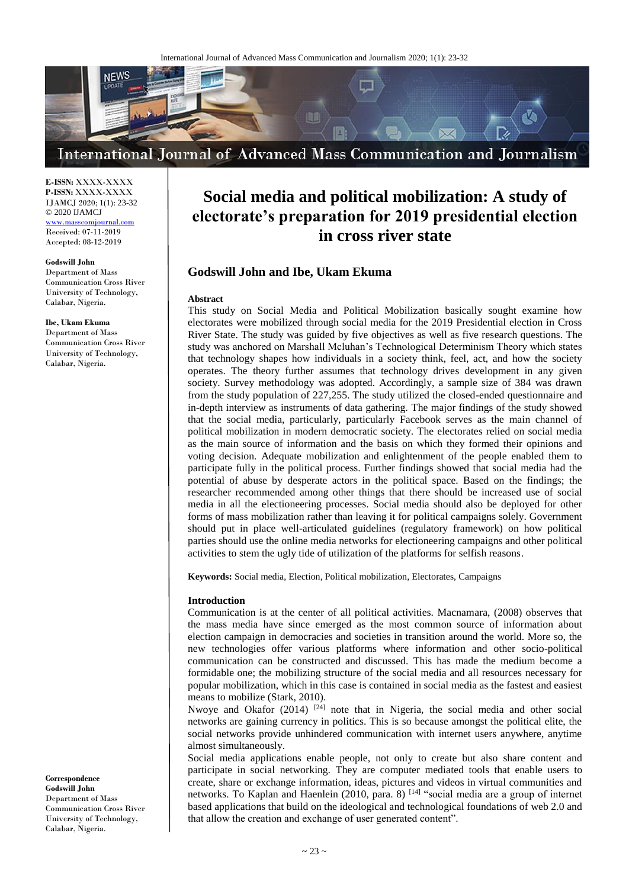

#### **E-ISSN:** XXXX-XXXX **P-ISSN:** XXXX-XXXX IJAMCJ 2020; 1(1): 23-32 © 2020 IJAMCJ

<www.masscomjournal.com> Received: 07-11-2019 Accepted: 08-12-2019

#### **Godswill John**

Department of Mass Communication Cross River University of Technology, Calabar, Nigeria.

#### **Ibe, Ukam Ekuma**

Department of Mass Communication Cross River University of Technology, Calabar, Nigeria.

**Correspondence Godswill John**  Department of Mass Communication Cross River University of Technology, Calabar, Nigeria.

# **Social media and political mobilization: A study of electorate's preparation for 2019 presidential election in cross river state**

# **Godswill John and Ibe, Ukam Ekuma**

#### **Abstract**

This study on Social Media and Political Mobilization basically sought examine how electorates were mobilized through social media for the 2019 Presidential election in Cross River State. The study was guided by five objectives as well as five research questions. The study was anchored on Marshall Mcluhan's Technological Determinism Theory which states that technology shapes how individuals in a society think, feel, act, and how the society operates. The theory further assumes that technology drives development in any given society. Survey methodology was adopted. Accordingly, a sample size of 384 was drawn from the study population of 227,255. The study utilized the closed-ended questionnaire and in-depth interview as instruments of data gathering. The major findings of the study showed that the social media, particularly, particularly Facebook serves as the main channel of political mobilization in modern democratic society. The electorates relied on social media as the main source of information and the basis on which they formed their opinions and voting decision. Adequate mobilization and enlightenment of the people enabled them to participate fully in the political process. Further findings showed that social media had the potential of abuse by desperate actors in the political space. Based on the findings; the researcher recommended among other things that there should be increased use of social media in all the electioneering processes. Social media should also be deployed for other forms of mass mobilization rather than leaving it for political campaigns solely. Government should put in place well-articulated guidelines (regulatory framework) on how political parties should use the online media networks for electioneering campaigns and other political activities to stem the ugly tide of utilization of the platforms for selfish reasons.

**Keywords:** Social media, Election, Political mobilization, Electorates, Campaigns

# **Introduction**

Communication is at the center of all political activities. Macnamara, (2008) observes that the mass media have since emerged as the most common source of information about election campaign in democracies and societies in transition around the world. More so, the new technologies offer various platforms where information and other socio-political communication can be constructed and discussed. This has made the medium become a formidable one; the mobilizing structure of the social media and all resources necessary for popular mobilization, which in this case is contained in social media as the fastest and easiest means to mobilize (Stark, 2010).

Nwoye and Okafor (2014) <sup>[24]</sup> note that in Nigeria, the social media and other social networks are gaining currency in politics. This is so because amongst the political elite, the social networks provide unhindered communication with internet users anywhere, anytime almost simultaneously.

Social media applications enable people, not only to create but also share content and participate in social networking. They are computer mediated tools that enable users to create, share or exchange information, ideas, pictures and videos in virtual communities and networks. To Kaplan and Haenlein (2010, para. 8) [14] "social media are a group of internet based applications that build on the ideological and technological foundations of web 2.0 and that allow the creation and exchange of user generated content".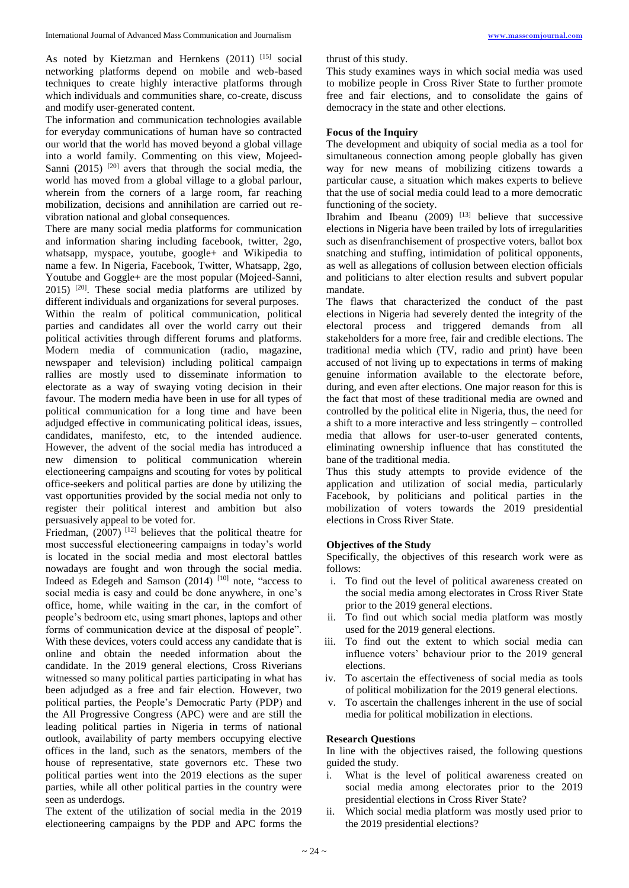As noted by Kietzman and Hernkens (2011) [15] social networking platforms depend on mobile and web-based techniques to create highly interactive platforms through which individuals and communities share, co-create, discuss and modify user-generated content.

The information and communication technologies available for everyday communications of human have so contracted our world that the world has moved beyond a global village into a world family. Commenting on this view, Mojeed-Sanni  $(2015)$  <sup>[20]</sup> avers that through the social media, the world has moved from a global village to a global parlour, wherein from the corners of a large room, far reaching mobilization, decisions and annihilation are carried out revibration national and global consequences.

There are many social media platforms for communication and information sharing including facebook, twitter, 2go, whatsapp, myspace, youtube, google+ and Wikipedia to name a few. In Nigeria, Facebook, Twitter, Whatsapp, 2go, Youtube and Goggle+ are the most popular (Mojeed-Sanni,  $2015$ )  $[20]$ . These social media platforms are utilized by different individuals and organizations for several purposes. Within the realm of political communication, political parties and candidates all over the world carry out their political activities through different forums and platforms. Modern media of communication (radio, magazine, newspaper and television) including political campaign rallies are mostly used to disseminate information to electorate as a way of swaying voting decision in their favour. The modern media have been in use for all types of political communication for a long time and have been adjudged effective in communicating political ideas, issues, candidates, manifesto, etc, to the intended audience. However, the advent of the social media has introduced a new dimension to political communication wherein electioneering campaigns and scouting for votes by political office-seekers and political parties are done by utilizing the vast opportunities provided by the social media not only to register their political interest and ambition but also persuasively appeal to be voted for.

Friedman,  $(2007)$ <sup>[12]</sup> believes that the political theatre for most successful electioneering campaigns in today's world is located in the social media and most electoral battles nowadays are fought and won through the social media. Indeed as Edegeh and Samson (2014) [10] note, "access to social media is easy and could be done anywhere, in one's office, home, while waiting in the car, in the comfort of people's bedroom etc, using smart phones, laptops and other forms of communication device at the disposal of people". With these devices, voters could access any candidate that is online and obtain the needed information about the candidate. In the 2019 general elections, Cross Riverians witnessed so many political parties participating in what has been adjudged as a free and fair election. However, two political parties, the People's Democratic Party (PDP) and the All Progressive Congress (APC) were and are still the leading political parties in Nigeria in terms of national outlook, availability of party members occupying elective offices in the land, such as the senators, members of the house of representative, state governors etc. These two political parties went into the 2019 elections as the super parties, while all other political parties in the country were seen as underdogs.

The extent of the utilization of social media in the 2019 electioneering campaigns by the PDP and APC forms the thrust of this study.

This study examines ways in which social media was used to mobilize people in Cross River State to further promote free and fair elections, and to consolidate the gains of democracy in the state and other elections.

#### **Focus of the Inquiry**

The development and ubiquity of social media as a tool for simultaneous connection among people globally has given way for new means of mobilizing citizens towards a particular cause, a situation which makes experts to believe that the use of social media could lead to a more democratic functioning of the society.

Ibrahim and Ibeanu  $(2009)$  <sup>[13]</sup> believe that successive elections in Nigeria have been trailed by lots of irregularities such as disenfranchisement of prospective voters, ballot box snatching and stuffing, intimidation of political opponents, as well as allegations of collusion between election officials and politicians to alter election results and subvert popular mandate.

The flaws that characterized the conduct of the past elections in Nigeria had severely dented the integrity of the electoral process and triggered demands from all stakeholders for a more free, fair and credible elections. The traditional media which (TV, radio and print) have been accused of not living up to expectations in terms of making genuine information available to the electorate before, during, and even after elections. One major reason for this is the fact that most of these traditional media are owned and controlled by the political elite in Nigeria, thus, the need for a shift to a more interactive and less stringently – controlled media that allows for user-to-user generated contents, eliminating ownership influence that has constituted the bane of the traditional media.

Thus this study attempts to provide evidence of the application and utilization of social media, particularly Facebook, by politicians and political parties in the mobilization of voters towards the 2019 presidential elections in Cross River State.

#### **Objectives of the Study**

Specifically, the objectives of this research work were as follows:

- i. To find out the level of political awareness created on the social media among electorates in Cross River State prior to the 2019 general elections.
- ii. To find out which social media platform was mostly used for the 2019 general elections.
- iii. To find out the extent to which social media can influence voters' behaviour prior to the 2019 general elections.
- iv. To ascertain the effectiveness of social media as tools of political mobilization for the 2019 general elections.
- v. To ascertain the challenges inherent in the use of social media for political mobilization in elections.

#### **Research Questions**

In line with the objectives raised, the following questions guided the study.

- i. What is the level of political awareness created on social media among electorates prior to the 2019 presidential elections in Cross River State?
- ii. Which social media platform was mostly used prior to the 2019 presidential elections?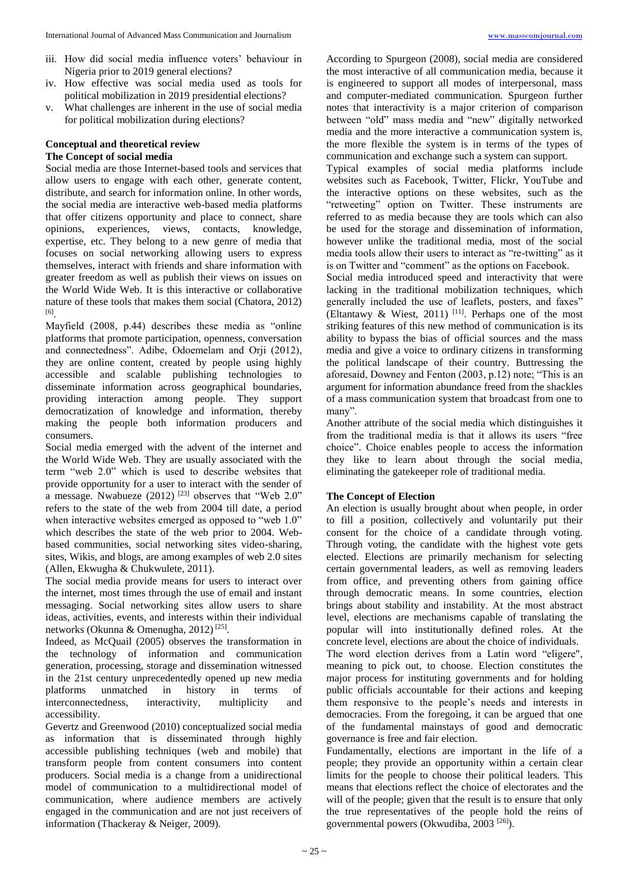- iii. How did social media influence voters' behaviour in Nigeria prior to 2019 general elections?
- iv. How effective was social media used as tools for political mobilization in 2019 presidential elections?
- v. What challenges are inherent in the use of social media for political mobilization during elections?

#### **Conceptual and theoretical review The Concept of social media**

Social media are those Internet-based tools and services that allow users to engage with each other, generate content, distribute, and search for information online. In other words, the social media are interactive web-based media platforms that offer citizens opportunity and place to connect, share opinions, experiences, views, contacts, knowledge, expertise, etc. They belong to a new genre of media that focuses on social networking allowing users to express themselves, interact with friends and share information with greater freedom as well as publish their views on issues on the World Wide Web. It is this interactive or collaborative nature of these tools that makes them social (Chatora, 2012) [6] .

Mayfield (2008, p.44) describes these media as "online platforms that promote participation, openness, conversation and connectedness". Adibe, Odoemelam and Orji (2012), they are online content, created by people using highly accessible and scalable publishing technologies to disseminate information across geographical boundaries, providing interaction among people. They support democratization of knowledge and information, thereby making the people both information producers and consumers.

Social media emerged with the advent of the internet and the World Wide Web. They are usually associated with the term "web 2.0" which is used to describe websites that provide opportunity for a user to interact with the sender of a message. Nwabueze  $(2012)$  <sup>[23]</sup> observes that "Web 2.0" refers to the state of the web from 2004 till date, a period when interactive websites emerged as opposed to "web 1.0" which describes the state of the web prior to 2004. Webbased communities, social networking sites video-sharing, sites, Wikis, and blogs, are among examples of web 2.0 sites (Allen, Ekwugha & Chukwulete, 2011).

The social media provide means for users to interact over the internet, most times through the use of email and instant messaging. Social networking sites allow users to share ideas, activities, events, and interests within their individual networks (Okunna & Omenugha, 2012)<sup>[25]</sup>.

Indeed, as McQuail (2005) observes the transformation in the technology of information and communication generation, processing, storage and dissemination witnessed in the 21st century unprecedentedly opened up new media platforms unmatched in history in terms of interconnectedness, interactivity, multiplicity and accessibility.

Gevertz and Greenwood (2010) conceptualized social media as information that is disseminated through highly accessible publishing techniques (web and mobile) that transform people from content consumers into content producers. Social media is a change from a unidirectional model of communication to a multidirectional model of communication, where audience members are actively engaged in the communication and are not just receivers of information (Thackeray & Neiger, 2009).

According to Spurgeon (2008), social media are considered the most interactive of all communication media, because it is engineered to support all modes of interpersonal, mass and computer-mediated communication. Spurgeon further notes that interactivity is a major criterion of comparison between "old" mass media and "new" digitally networked media and the more interactive a communication system is, the more flexible the system is in terms of the types of communication and exchange such a system can support.

Typical examples of social media platforms include websites such as Facebook, Twitter, Flickr, YouTube and the interactive options on these websites, such as the "retweeting" option on Twitter. These instruments are referred to as media because they are tools which can also be used for the storage and dissemination of information, however unlike the traditional media, most of the social media tools allow their users to interact as "re-twitting" as it is on Twitter and "comment" as the options on Facebook.

Social media introduced speed and interactivity that were lacking in the traditional mobilization techniques, which generally included the use of leaflets, posters, and faxes" (Eltantawy & Wiest, 2011)<sup>[11]</sup>. Perhaps one of the most striking features of this new method of communication is its ability to bypass the bias of official sources and the mass media and give a voice to ordinary citizens in transforming the political landscape of their country. Buttressing the aforesaid, Downey and Fenton (2003, p.12) note; "This is an argument for information abundance freed from the shackles of a mass communication system that broadcast from one to many".

Another attribute of the social media which distinguishes it from the traditional media is that it allows its users "free choice". Choice enables people to access the information they like to learn about through the social media, eliminating the gatekeeper role of traditional media.

#### **The Concept of Election**

An election is usually brought about when people, in order to fill a position, collectively and voluntarily put their consent for the choice of a candidate through voting. Through voting, the candidate with the highest vote gets elected. Elections are primarily mechanism for selecting certain governmental leaders, as well as removing leaders from office, and preventing others from gaining office through democratic means. In some countries, election brings about stability and instability. At the most abstract level, elections are mechanisms capable of translating the popular will into institutionally defined roles. At the concrete level, elections are about the choice of individuals. The word election derives from a Latin word "eligere", meaning to pick out, to choose. Election constitutes the major process for instituting governments and for holding public officials accountable for their actions and keeping them responsive to the people's needs and interests in democracies. From the foregoing, it can be argued that one of the fundamental mainstays of good and democratic governance is free and fair election.

Fundamentally, elections are important in the life of a people; they provide an opportunity within a certain clear limits for the people to choose their political leaders. This means that elections reflect the choice of electorates and the will of the people; given that the result is to ensure that only the true representatives of the people hold the reins of governmental powers (Okwudiba, 2003 [26]).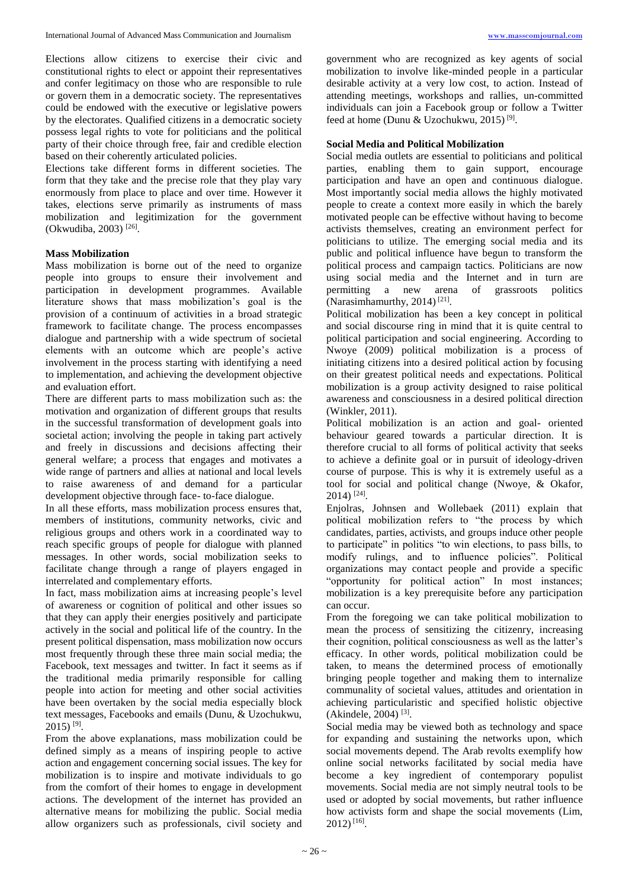Elections allow citizens to exercise their civic and constitutional rights to elect or appoint their representatives and confer legitimacy on those who are responsible to rule or govern them in a democratic society. The representatives could be endowed with the executive or legislative powers by the electorates. Qualified citizens in a democratic society possess legal rights to vote for politicians and the political party of their choice through free, fair and credible election based on their coherently articulated policies.

Elections take different forms in different societies. The form that they take and the precise role that they play vary enormously from place to place and over time. However it takes, elections serve primarily as instruments of mass mobilization and legitimization for the government (Okwudiba, 2003)<sup>[26]</sup>.

#### **Mass Mobilization**

Mass mobilization is borne out of the need to organize people into groups to ensure their involvement and participation in development programmes. Available literature shows that mass mobilization's goal is the provision of a continuum of activities in a broad strategic framework to facilitate change. The process encompasses dialogue and partnership with a wide spectrum of societal elements with an outcome which are people's active involvement in the process starting with identifying a need to implementation, and achieving the development objective and evaluation effort.

There are different parts to mass mobilization such as: the motivation and organization of different groups that results in the successful transformation of development goals into societal action; involving the people in taking part actively and freely in discussions and decisions affecting their general welfare; a process that engages and motivates a wide range of partners and allies at national and local levels to raise awareness of and demand for a particular development objective through face- to-face dialogue.

In all these efforts, mass mobilization process ensures that, members of institutions, community networks, civic and religious groups and others work in a coordinated way to reach specific groups of people for dialogue with planned messages. In other words, social mobilization seeks to facilitate change through a range of players engaged in interrelated and complementary efforts.

In fact, mass mobilization aims at increasing people's level of awareness or cognition of political and other issues so that they can apply their energies positively and participate actively in the social and political life of the country. In the present political dispensation, mass mobilization now occurs most frequently through these three main social media; the Facebook, text messages and twitter. In fact it seems as if the traditional media primarily responsible for calling people into action for meeting and other social activities have been overtaken by the social media especially block text messages, Facebooks and emails (Dunu, & Uzochukwu,  $2015$ ) <sup>[9]</sup>.

From the above explanations, mass mobilization could be defined simply as a means of inspiring people to active action and engagement concerning social issues. The key for mobilization is to inspire and motivate individuals to go from the comfort of their homes to engage in development actions. The development of the internet has provided an alternative means for mobilizing the public. Social media allow organizers such as professionals, civil society and government who are recognized as key agents of social mobilization to involve like-minded people in a particular desirable activity at a very low cost, to action. Instead of attending meetings, workshops and rallies, un-committed individuals can join a Facebook group or follow a Twitter feed at home (Dunu & Uzochukwu, 2015)<sup>[9]</sup>.

#### **Social Media and Political Mobilization**

Social media outlets are essential to politicians and political parties, enabling them to gain support, encourage participation and have an open and continuous dialogue. Most importantly social media allows the highly motivated people to create a context more easily in which the barely motivated people can be effective without having to become activists themselves, creating an environment perfect for politicians to utilize. The emerging social media and its public and political influence have begun to transform the political process and campaign tactics. Politicians are now using social media and the Internet and in turn are permitting a new arena of grassroots politics (Narasimhamurthy, 2014)<sup>[21]</sup>.

Political mobilization has been a key concept in political and social discourse ring in mind that it is quite central to political participation and social engineering. According to Nwoye (2009) political mobilization is a process of initiating citizens into a desired political action by focusing on their greatest political needs and expectations. Political mobilization is a group activity designed to raise political awareness and consciousness in a desired political direction (Winkler, 2011).

Political mobilization is an action and goal- oriented behaviour geared towards a particular direction. It is therefore crucial to all forms of political activity that seeks to achieve a definite goal or in pursuit of ideology-driven course of purpose. This is why it is extremely useful as a tool for social and political change (Nwoye, & Okafor, 2014) [24] .

Enjolras, Johnsen and Wollebaek (2011) explain that political mobilization refers to "the process by which candidates, parties, activists, and groups induce other people to participate" in politics "to win elections, to pass bills, to modify rulings, and to influence policies". Political organizations may contact people and provide a specific "opportunity for political action" In most instances; mobilization is a key prerequisite before any participation can occur.

From the foregoing we can take political mobilization to mean the process of sensitizing the citizenry, increasing their cognition, political consciousness as well as the latter's efficacy. In other words, political mobilization could be taken, to means the determined process of emotionally bringing people together and making them to internalize communality of societal values, attitudes and orientation in achieving particularistic and specified holistic objective (Akindele, 2004)<sup>[3]</sup>.

Social media may be viewed both as technology and space for expanding and sustaining the networks upon, which social movements depend. The Arab revolts exemplify how online social networks facilitated by social media have become a key ingredient of contemporary populist movements. Social media are not simply neutral tools to be used or adopted by social movements, but rather influence how activists form and shape the social movements (Lim, 2012) [16] .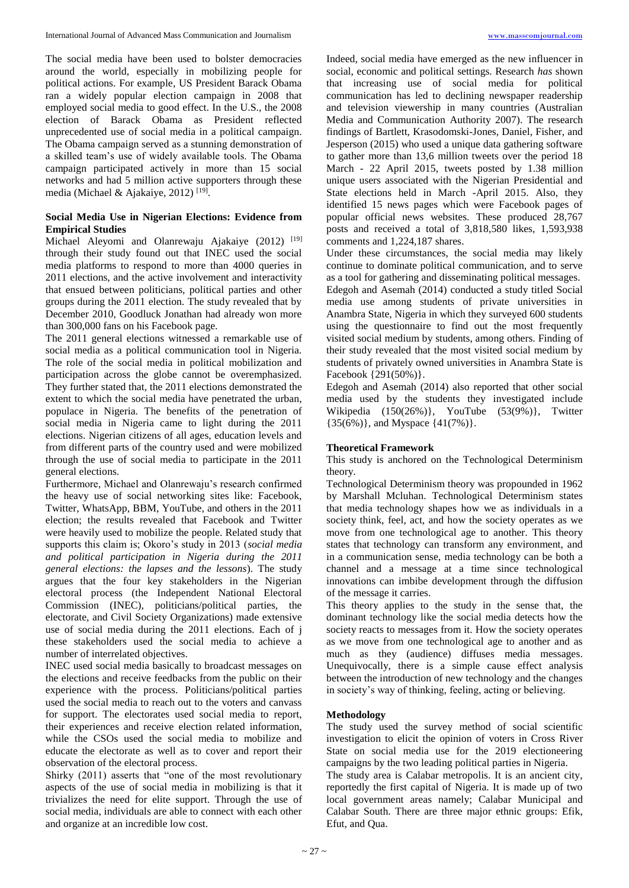The social media have been used to bolster democracies around the world, especially in mobilizing people for political actions. For example, US President Barack Obama ran a widely popular election campaign in 2008 that employed social media to good effect. In the U.S., the 2008 election of Barack Obama as President reflected unprecedented use of social media in a political campaign. The Obama campaign served as a stunning demonstration of a skilled team's use of widely available tools. The Obama campaign participated actively in more than 15 social networks and had 5 million active supporters through these media (Michael & Ajakaiye, 2012)<sup>[19]</sup>.

# **Social Media Use in Nigerian Elections: Evidence from Empirical Studies**

Michael Aleyomi and Olanrewaju Ajakaiye (2012) [19] through their study found out that INEC used the social media platforms to respond to more than 4000 queries in 2011 elections, and the active involvement and interactivity that ensued between politicians, political parties and other groups during the 2011 election. The study revealed that by December 2010, Goodluck Jonathan had already won more than 300,000 fans on his Facebook page.

The 2011 general elections witnessed a remarkable use of social media as a political communication tool in Nigeria. The role of the social media in political mobilization and participation across the globe cannot be overemphasized. They further stated that, the 2011 elections demonstrated the extent to which the social media have penetrated the urban, populace in Nigeria. The benefits of the penetration of social media in Nigeria came to light during the 2011 elections. Nigerian citizens of all ages, education levels and from different parts of the country used and were mobilized through the use of social media to participate in the 2011 general elections.

Furthermore, Michael and Olanrewaju's research confirmed the heavy use of social networking sites like: Facebook, Twitter, WhatsApp, BBM, YouTube, and others in the 2011 election; the results revealed that Facebook and Twitter were heavily used to mobilize the people. Related study that supports this claim is; Okoro's study in 2013 (*social media and political participation in Nigeria during the 2011 general elections: the lapses and the lessons*). The study argues that the four key stakeholders in the Nigerian electoral process (the Independent National Electoral Commission (INEC), politicians/political parties, the electorate, and Civil Society Organizations) made extensive use of social media during the 2011 elections. Each of j these stakeholders used the social media to achieve a number of interrelated objectives.

INEC used social media basically to broadcast messages on the elections and receive feedbacks from the public on their experience with the process. Politicians/political parties used the social media to reach out to the voters and canvass for support. The electorates used social media to report, their experiences and receive election related information, while the CSOs used the social media to mobilize and educate the electorate as well as to cover and report their observation of the electoral process.

Shirky (2011) asserts that "one of the most revolutionary aspects of the use of social media in mobilizing is that it trivializes the need for elite support. Through the use of social media, individuals are able to connect with each other and organize at an incredible low cost.

Indeed, social media have emerged as the new influencer in social, economic and political settings. Research *has* shown that increasing use of social media for political communication has led to declining newspaper readership and television viewership in many countries (Australian Media and Communication Authority 2007). The research findings of Bartlett, Krasodomski-Jones, Daniel, Fisher, and Jesperson (2015) who used a unique data gathering software to gather more than 13,6 million tweets over the period 18 March - 22 April 2015, tweets posted by 1.38 million unique users associated with the Nigerian Presidential and State elections held in March -April 2015. Also, they identified 15 news pages which were Facebook pages of popular official news websites. These produced 28,767 posts and received a total of 3,818,580 likes, 1,593,938 comments and 1,224,187 shares.

Under these circumstances, the social media may likely continue to dominate political communication, and to serve as a tool for gathering and disseminating political messages. Edegoh and Asemah (2014) conducted a study titled Social media use among students of private universities in Anambra State, Nigeria in which they surveyed 600 students using the questionnaire to find out the most frequently visited social medium by students, among others. Finding of their study revealed that the most visited social medium by students of privately owned universities in Anambra State is Facebook {291(50%)}.

Edegoh and Asemah (2014) also reported that other social media used by the students they investigated include Wikipedia (150(26%)}, YouTube (53(9%)}, Twitter  ${35(6%)}$ , and Myspace  ${41(7%)}$ .

# **Theoretical Framework**

This study is anchored on the Technological Determinism theory.

Technological Determinism theory was propounded in 1962 by Marshall Mcluhan. Technological Determinism states that media technology shapes how we as individuals in a society think, feel, act, and how the society operates as we move from one technological age to another. This theory states that technology can transform any environment, and in a communication sense, media technology can be both a channel and a message at a time since technological innovations can imbibe development through the diffusion of the message it carries.

This theory applies to the study in the sense that, the dominant technology like the social media detects how the society reacts to messages from it. How the society operates as we move from one technological age to another and as much as they (audience) diffuses media messages. Unequivocally, there is a simple cause effect analysis between the introduction of new technology and the changes in society's way of thinking, feeling, acting or believing.

# **Methodology**

The study used the survey method of social scientific investigation to elicit the opinion of voters in Cross River State on social media use for the 2019 electioneering campaigns by the two leading political parties in Nigeria.

The study area is Calabar metropolis. It is an ancient city, reportedly the first capital of Nigeria. It is made up of two local government areas namely; Calabar Municipal and Calabar South. There are three major ethnic groups: Efik, Efut, and Qua.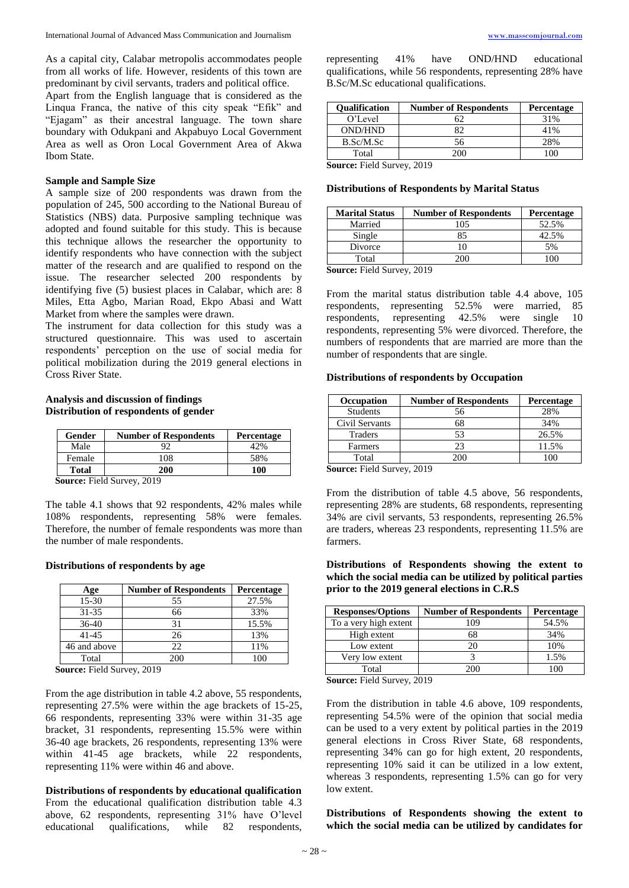As a capital city, Calabar metropolis accommodates people from all works of life. However, residents of this town are predominant by civil servants, traders and political office.

Apart from the English language that is considered as the Linqua Franca, the native of this city speak "Efik" and "Ejagam" as their ancestral language. The town share boundary with Odukpani and Akpabuyo Local Government Area as well as Oron Local Government Area of Akwa Ibom State.

#### **Sample and Sample Size**

A sample size of 200 respondents was drawn from the population of 245, 500 according to the National Bureau of Statistics (NBS) data. Purposive sampling technique was adopted and found suitable for this study. This is because this technique allows the researcher the opportunity to identify respondents who have connection with the subject matter of the research and are qualified to respond on the issue. The researcher selected 200 respondents by identifying five (5) busiest places in Calabar, which are: 8 Miles, Etta Agbo, Marian Road, Ekpo Abasi and Watt Market from where the samples were drawn.

The instrument for data collection for this study was a structured questionnaire. This was used to ascertain respondents' perception on the use of social media for political mobilization during the 2019 general elections in Cross River State.

#### **Analysis and discussion of findings Distribution of respondents of gender**

| Gender | <b>Number of Respondents</b> | Percentage |
|--------|------------------------------|------------|
| Male   |                              |            |
| Female | 108                          | 58%        |
| Total  | 200                          | 100        |

**Source:** Field Survey, 2019

The table 4.1 shows that 92 respondents, 42% males while 108% respondents, representing 58% were females. Therefore, the number of female respondents was more than the number of male respondents.

#### **Distributions of respondents by age**

| Age          | <b>Number of Respondents</b> | Percentage |
|--------------|------------------------------|------------|
| 15-30        | 55                           | 27.5%      |
| $31 - 35$    | 66                           | 33%        |
| $36-40$      | 31                           | 15.5%      |
| $41 - 45$    | 26                           | 13%        |
| 46 and above | 22                           | 11%        |
| Total        | 200                          | 100        |

**Source:** Field Survey, 2019

From the age distribution in table 4.2 above, 55 respondents, representing 27.5% were within the age brackets of 15-25, 66 respondents, representing 33% were within 31-35 age bracket, 31 respondents, representing 15.5% were within 36-40 age brackets, 26 respondents, representing 13% were within 41-45 age brackets, while 22 respondents, representing 11% were within 46 and above.

**Distributions of respondents by educational qualification** From the educational qualification distribution table 4.3 above, 62 respondents, representing 31% have O'level educational qualifications, while 82 respondents,

representing 41% have OND/HND educational qualifications, while 56 respondents, representing 28% have B.Sc/M.Sc educational qualifications.

| <b>Qualification</b> | <b>Number of Respondents</b> | <b>Percentage</b> |
|----------------------|------------------------------|-------------------|
| O'Level              |                              | 31%               |
| <b>OND/HND</b>       |                              | 41%               |
| B.Sc/M.Sc            | 56                           | 28%               |
| Total                | 200                          |                   |
| -<br>______          | - - - -                      |                   |

**Source:** Field Survey, 2019

#### **Distributions of Respondents by Marital Status**

| <b>Number of Respondents</b> | <b>Percentage</b> |
|------------------------------|-------------------|
| 105                          | 52.5%             |
|                              | 42.5%             |
|                              | 5%                |
| 200.                         |                   |
|                              |                   |

**Source:** Field Survey, 2019

From the marital status distribution table 4.4 above, 105 respondents, representing 52.5% were married, 85 respondents, representing 42.5% were single 10 respondents, representing 5% were divorced. Therefore, the numbers of respondents that are married are more than the number of respondents that are single.

#### **Distributions of respondents by Occupation**

| <b>Occupation</b> | <b>Number of Respondents</b> | <b>Percentage</b> |
|-------------------|------------------------------|-------------------|
| <b>Students</b>   | 56                           | 28%               |
| Civil Servants    | 68                           | 34%               |
| Traders           | 53                           | 26.5%             |
| Farmers           | 23                           | 11.5%             |
| Total             |                              |                   |

**Source:** Field Survey, 2019

From the distribution of table 4.5 above, 56 respondents, representing 28% are students, 68 respondents, representing 34% are civil servants, 53 respondents, representing 26.5% are traders, whereas 23 respondents, representing 11.5% are farmers.

#### **Distributions of Respondents showing the extent to which the social media can be utilized by political parties prior to the 2019 general elections in C.R.S**

| <b>Responses/Options</b> | <b>Number of Respondents</b> | <b>Percentage</b> |
|--------------------------|------------------------------|-------------------|
| To a very high extent    | 109                          | 54.5%             |
| High extent              | 68                           | 34%               |
| Low extent               | 20                           | 10%               |
| Very low extent          |                              | 1.5%              |
| Total                    | 200                          |                   |

**Source:** Field Survey, 2019

From the distribution in table 4.6 above, 109 respondents, representing 54.5% were of the opinion that social media can be used to a very extent by political parties in the 2019 general elections in Cross River State, 68 respondents, representing 34% can go for high extent, 20 respondents, representing 10% said it can be utilized in a low extent, whereas 3 respondents, representing 1.5% can go for very low extent.

**Distributions of Respondents showing the extent to which the social media can be utilized by candidates for**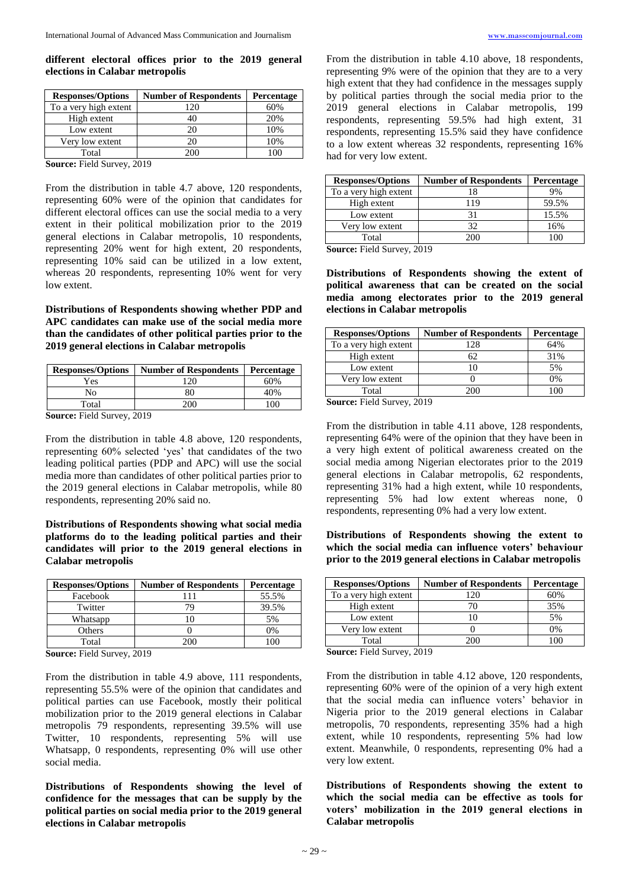#### **different electoral offices prior to the 2019 general elections in Calabar metropolis**

| <b>Responses/Options</b> | <b>Number of Respondents</b> | <b>Percentage</b> |
|--------------------------|------------------------------|-------------------|
| To a very high extent    | 120                          | 60%               |
| High extent              |                              | 20%               |
| Low extent               | 20                           | 10%               |
| Very low extent          | 20                           | 10%               |
| Total                    | 200                          | 10C               |
| -<br>______              | - - - -                      |                   |

**Source:** Field Survey, 2019

From the distribution in table 4.7 above, 120 respondents, representing 60% were of the opinion that candidates for different electoral offices can use the social media to a very extent in their political mobilization prior to the 2019 general elections in Calabar metropolis, 10 respondents, representing 20% went for high extent, 20 respondents, representing 10% said can be utilized in a low extent, whereas 20 respondents, representing 10% went for very low extent.

**Distributions of Respondents showing whether PDP and APC candidates can make use of the social media more than the candidates of other political parties prior to the 2019 general elections in Calabar metropolis**

| <b>Responses/Options</b> | <b>Number of Respondents</b> | Percentage |
|--------------------------|------------------------------|------------|
| Yes                      | 120                          | 60%        |
| No                       | 80                           | 40%        |
| Total                    | 200                          | 00         |

**Source:** Field Survey, 2019

From the distribution in table 4.8 above, 120 respondents, representing 60% selected 'yes' that candidates of the two leading political parties (PDP and APC) will use the social media more than candidates of other political parties prior to the 2019 general elections in Calabar metropolis, while 80 respondents, representing 20% said no.

#### **Distributions of Respondents showing what social media platforms do to the leading political parties and their candidates will prior to the 2019 general elections in Calabar metropolis**

| <b>Responses/Options</b> | <b>Number of Respondents</b> | Percentage |
|--------------------------|------------------------------|------------|
| Facebook                 | 111                          | 55.5%      |
| Twitter                  | 79                           | 39.5%      |
| Whatsapp                 |                              | 5%         |
| Others                   |                              | 0%         |
| Total                    | 200                          |            |
| $\sim$<br>. <u>.</u>     | 0.010                        |            |

**Source:** Field Survey, 2019

From the distribution in table 4.9 above, 111 respondents, representing 55.5% were of the opinion that candidates and political parties can use Facebook, mostly their political mobilization prior to the 2019 general elections in Calabar metropolis 79 respondents, representing 39.5% will use Twitter, 10 respondents, representing 5% will use Whatsapp, 0 respondents, representing 0% will use other social media.

**Distributions of Respondents showing the level of confidence for the messages that can be supply by the political parties on social media prior to the 2019 general elections in Calabar metropolis**

From the distribution in table 4.10 above, 18 respondents, representing 9% were of the opinion that they are to a very high extent that they had confidence in the messages supply by political parties through the social media prior to the 2019 general elections in Calabar metropolis, 199 respondents, representing 59.5% had high extent, 31 respondents, representing 15.5% said they have confidence to a low extent whereas 32 respondents, representing 16% had for very low extent.

| <b>Responses/Options</b> | <b>Number of Respondents</b> | Percentage |
|--------------------------|------------------------------|------------|
| To a very high extent    | 18                           | 9%         |
| High extent              | l 19                         | 59.5%      |
| Low extent               |                              | 15.5%      |
| Very low extent          | 32                           | 16%        |
| Total                    | ንበር                          | 1 በበ       |

**Source:** Field Survey, 2019

**Distributions of Respondents showing the extent of political awareness that can be created on the social media among electorates prior to the 2019 general elections in Calabar metropolis**

| <b>Responses/Options</b> | <b>Number of Respondents</b> | Percentage |
|--------------------------|------------------------------|------------|
| To a very high extent    | 128                          | 64%        |
| High extent              | 62                           | 31%        |
| Low extent               |                              | 5%         |
| Very low extent          |                              | 0%         |
| Total                    | 200                          | LOC        |

**Source:** Field Survey, 2019

From the distribution in table 4.11 above, 128 respondents, representing 64% were of the opinion that they have been in a very high extent of political awareness created on the social media among Nigerian electorates prior to the 2019 general elections in Calabar metropolis, 62 respondents, representing 31% had a high extent, while 10 respondents, representing 5% had low extent whereas none, 0 respondents, representing 0% had a very low extent.

**Distributions of Respondents showing the extent to which the social media can influence voters' behaviour prior to the 2019 general elections in Calabar metropolis**

| 60% |
|-----|
| 35% |
| 5%  |
| 0%  |
|     |
|     |

**Source:** Field Survey, 2019

From the distribution in table 4.12 above, 120 respondents, representing 60% were of the opinion of a very high extent that the social media can influence voters' behavior in Nigeria prior to the 2019 general elections in Calabar metropolis, 70 respondents, representing 35% had a high extent, while 10 respondents, representing 5% had low extent. Meanwhile, 0 respondents, representing 0% had a very low extent.

**Distributions of Respondents showing the extent to which the social media can be effective as tools for voters' mobilization in the 2019 general elections in Calabar metropolis**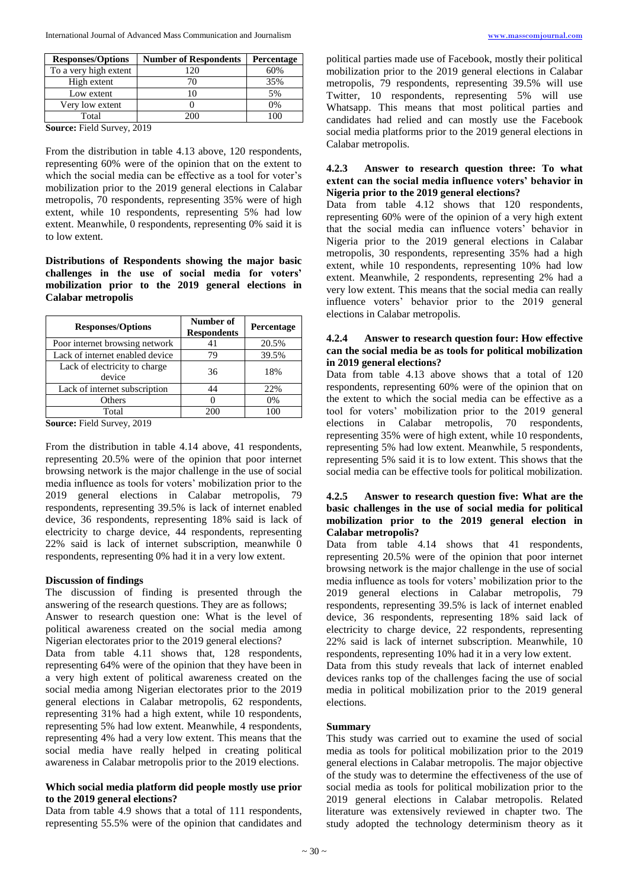| <b>Responses/Options</b> | <b>Number of Respondents</b> | <b>Percentage</b> |
|--------------------------|------------------------------|-------------------|
| To a very high extent    | 120                          | 60%               |
| High extent              |                              | 35%               |
| Low extent               |                              | 5%                |
| Very low extent          |                              | 0%                |
| Total                    |                              |                   |

**Source:** Field Survey, 2019

From the distribution in table 4.13 above, 120 respondents, representing 60% were of the opinion that on the extent to which the social media can be effective as a tool for voter's mobilization prior to the 2019 general elections in Calabar metropolis, 70 respondents, representing 35% were of high extent, while 10 respondents, representing 5% had low extent. Meanwhile, 0 respondents, representing 0% said it is to low extent.

**Distributions of Respondents showing the major basic challenges in the use of social media for voters' mobilization prior to the 2019 general elections in Calabar metropolis**

| <b>Responses/Options</b>                | Number of<br><b>Respondents</b> | Percentage |
|-----------------------------------------|---------------------------------|------------|
| Poor internet browsing network          | 41                              | 20.5%      |
| Lack of internet enabled device         | 79                              | 39.5%      |
| Lack of electricity to charge<br>device | 36                              | 18%        |
| Lack of internet subscription           | 44                              | 22%        |
| Others                                  |                                 | 0%         |
| Total<br>$\tilde{\phantom{a}}$          | 200                             | 100        |

**Source:** Field Survey, 2019

From the distribution in table 4.14 above, 41 respondents, representing 20.5% were of the opinion that poor internet browsing network is the major challenge in the use of social media influence as tools for voters' mobilization prior to the 2019 general elections in Calabar metropolis, 79 respondents, representing 39.5% is lack of internet enabled device, 36 respondents, representing 18% said is lack of electricity to charge device, 44 respondents, representing 22% said is lack of internet subscription, meanwhile 0 respondents, representing 0% had it in a very low extent.

#### **Discussion of findings**

The discussion of finding is presented through the answering of the research questions. They are as follows; Answer to research question one: What is the level of political awareness created on the social media among Nigerian electorates prior to the 2019 general elections? Data from table 4.11 shows that, 128 respondents, representing 64% were of the opinion that they have been in a very high extent of political awareness created on the social media among Nigerian electorates prior to the 2019 general elections in Calabar metropolis, 62 respondents, representing 31% had a high extent, while 10 respondents, representing 5% had low extent. Meanwhile, 4 respondents, representing 4% had a very low extent. This means that the social media have really helped in creating political awareness in Calabar metropolis prior to the 2019 elections.

#### **Which social media platform did people mostly use prior to the 2019 general elections?**

Data from table 4.9 shows that a total of 111 respondents, representing 55.5% were of the opinion that candidates and

political parties made use of Facebook, mostly their political mobilization prior to the 2019 general elections in Calabar metropolis, 79 respondents, representing 39.5% will use Twitter, 10 respondents, representing 5% will use Whatsapp. This means that most political parties and candidates had relied and can mostly use the Facebook social media platforms prior to the 2019 general elections in Calabar metropolis.

#### **4.2.3 Answer to research question three: To what extent can the social media influence voters' behavior in Nigeria prior to the 2019 general elections?**

Data from table 4.12 shows that 120 respondents, representing 60% were of the opinion of a very high extent that the social media can influence voters' behavior in Nigeria prior to the 2019 general elections in Calabar metropolis, 30 respondents, representing 35% had a high extent, while 10 respondents, representing 10% had low extent. Meanwhile, 2 respondents, representing 2% had a very low extent. This means that the social media can really influence voters' behavior prior to the 2019 general elections in Calabar metropolis.

#### **4.2.4 Answer to research question four: How effective can the social media be as tools for political mobilization in 2019 general elections?**

Data from table 4.13 above shows that a total of 120 respondents, representing 60% were of the opinion that on the extent to which the social media can be effective as a tool for voters' mobilization prior to the 2019 general elections in Calabar metropolis, 70 respondents, representing 35% were of high extent, while 10 respondents, representing 5% had low extent. Meanwhile, 5 respondents, representing 5% said it is to low extent. This shows that the social media can be effective tools for political mobilization.

# **4.2.5 Answer to research question five: What are the basic challenges in the use of social media for political mobilization prior to the 2019 general election in Calabar metropolis?**

Data from table 4.14 shows that 41 respondents, representing 20.5% were of the opinion that poor internet browsing network is the major challenge in the use of social media influence as tools for voters' mobilization prior to the 2019 general elections in Calabar metropolis, 79 respondents, representing 39.5% is lack of internet enabled device, 36 respondents, representing 18% said lack of electricity to charge device, 22 respondents, representing 22% said is lack of internet subscription. Meanwhile, 10 respondents, representing 10% had it in a very low extent.

Data from this study reveals that lack of internet enabled devices ranks top of the challenges facing the use of social media in political mobilization prior to the 2019 general elections.

# **Summary**

This study was carried out to examine the used of social media as tools for political mobilization prior to the 2019 general elections in Calabar metropolis. The major objective of the study was to determine the effectiveness of the use of social media as tools for political mobilization prior to the 2019 general elections in Calabar metropolis. Related literature was extensively reviewed in chapter two. The study adopted the technology determinism theory as it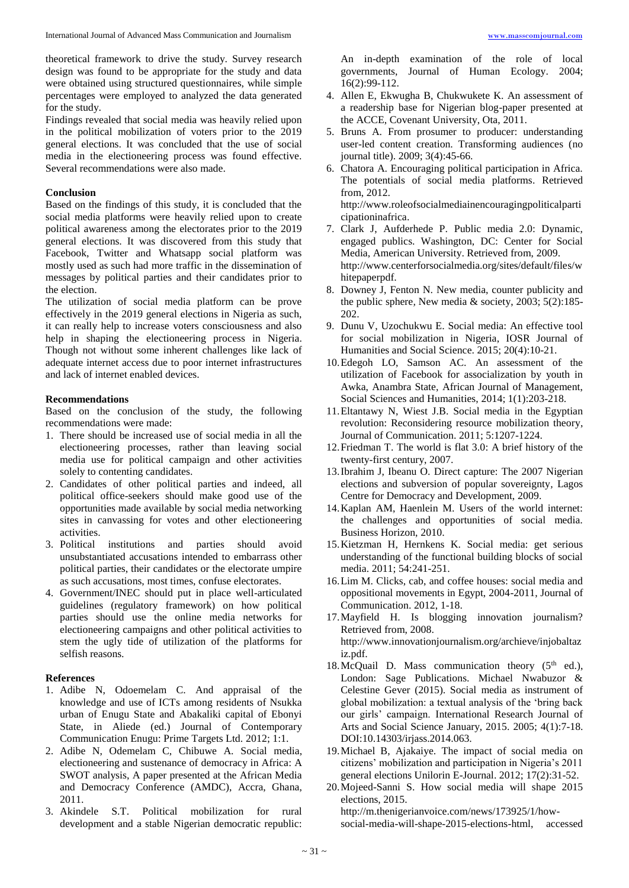theoretical framework to drive the study. Survey research design was found to be appropriate for the study and data were obtained using structured questionnaires, while simple percentages were employed to analyzed the data generated for the study.

Findings revealed that social media was heavily relied upon in the political mobilization of voters prior to the 2019 general elections. It was concluded that the use of social media in the electioneering process was found effective. Several recommendations were also made.

#### **Conclusion**

Based on the findings of this study, it is concluded that the social media platforms were heavily relied upon to create political awareness among the electorates prior to the 2019 general elections. It was discovered from this study that Facebook, Twitter and Whatsapp social platform was mostly used as such had more traffic in the dissemination of messages by political parties and their candidates prior to the election.

The utilization of social media platform can be prove effectively in the 2019 general elections in Nigeria as such, it can really help to increase voters consciousness and also help in shaping the electioneering process in Nigeria. Though not without some inherent challenges like lack of adequate internet access due to poor internet infrastructures and lack of internet enabled devices.

#### **Recommendations**

Based on the conclusion of the study, the following recommendations were made:

- 1. There should be increased use of social media in all the electioneering processes, rather than leaving social media use for political campaign and other activities solely to contenting candidates.
- 2. Candidates of other political parties and indeed, all political office-seekers should make good use of the opportunities made available by social media networking sites in canvassing for votes and other electioneering activities.
- 3. Political institutions and parties should avoid unsubstantiated accusations intended to embarrass other political parties, their candidates or the electorate umpire as such accusations, most times, confuse electorates.
- 4. Government/INEC should put in place well-articulated guidelines (regulatory framework) on how political parties should use the online media networks for electioneering campaigns and other political activities to stem the ugly tide of utilization of the platforms for selfish reasons.

# **References**

- 1. Adibe N, Odoemelam C. And appraisal of the knowledge and use of ICTs among residents of Nsukka urban of Enugu State and Abakaliki capital of Ebonyi State, in Aliede (ed.) Journal of Contemporary Communication Enugu: Prime Targets Ltd. 2012; 1:1.
- 2. Adibe N, Odemelam C, Chibuwe A. Social media, electioneering and sustenance of democracy in Africa: A SWOT analysis, A paper presented at the African Media and Democracy Conference (AMDC), Accra, Ghana, 2011.
- 3. Akindele S.T. Political mobilization for rural development and a stable Nigerian democratic republic:

An in-depth examination of the role of local governments, Journal of Human Ecology. 2004; 16(2):99-112.

- 4. Allen E, Ekwugha B, Chukwukete K. An assessment of a readership base for Nigerian blog-paper presented at the ACCE, Covenant University, Ota, 2011.
- 5. Bruns A. From prosumer to producer: understanding user-led content creation. Transforming audiences (no journal title). 2009; 3(4):45-66.
- 6. Chatora A. Encouraging political participation in Africa. The potentials of social media platforms. Retrieved from, 2012.

http://www.roleofsocialmediainencouragingpoliticalparti cipationinafrica.

- 7. Clark J, Aufderhede P. Public media 2.0: Dynamic, engaged publics. Washington, DC: Center for Social Media, American University. Retrieved from, 2009. http://www.centerforsocialmedia.org/sites/default/files/w hitepaperpdf.
- 8. Downey J, Fenton N. New media, counter publicity and the public sphere*,* New media & society, 2003; 5(2):185- 202.
- 9. Dunu V, Uzochukwu E. Social media: An effective tool for social mobilization in Nigeria, IOSR Journal of Humanities and Social Science. 2015; 20(4):10-21.
- 10.Edegoh LO, Samson AC. An assessment of the utilization of Facebook for associalization by youth in Awka, Anambra State, African Journal of Management, Social Sciences and Humanities, 2014; 1(1):203-218.
- 11.Eltantawy N, Wiest J.B. Social media in the Egyptian revolution: Reconsidering resource mobilization theory, Journal of Communication. 2011; 5:1207-1224.
- 12.Friedman T. The world is flat 3.0: A brief history of the twenty-first century, 2007.
- 13.Ibrahim J, Ibeanu O. Direct capture: The 2007 Nigerian elections and subversion of popular sovereignty*,* Lagos Centre for Democracy and Development, 2009.
- 14.Kaplan AM, Haenlein M. Users of the world internet: the challenges and opportunities of social media*.* Business Horizon, 2010.
- 15.Kietzman H, Hernkens K. Social media: get serious understanding of the functional building blocks of social media. 2011; 54:241-251.
- 16.Lim M. Clicks, cab, and coffee houses: social media and oppositional movements in Egypt, 2004-2011, Journal of Communication. 2012, 1-18.
- 17.Mayfield H. Is blogging innovation journalism? Retrieved from, 2008. http://www.innovationjournalism.org/archieve/injobaltaz iz.pdf. 18. McQuail D. Mass communication theory  $(5<sup>th</sup>$  ed.),
- London: Sage Publications. Michael Nwabuzor & Celestine Gever (2015). Social media as instrument of global mobilization: a textual analysis of the 'bring back our girls' campaign. International Research Journal of Arts and Social Science January, 2015. 2005; 4(1):7-18. DOI:10.14303/irjass.2014.063.
- 19.Michael B, Ajakaiye. The impact of social media on citizens' mobilization and participation in Nigeria's 2011 general elections Unilorin E-Journal. 2012; 17(2):31-52.
- 20.Mojeed-Sanni S. How social media will shape 2015 elections, 2015. http://m.thenigerianvoice.com/news/173925/1/how-

social-media-will-shape-2015-elections-html, accessed